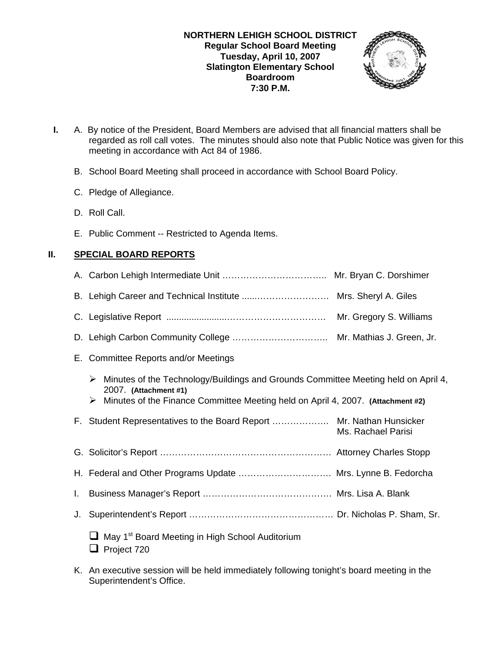

- **I.** A. By notice of the President, Board Members are advised that all financial matters shall be regarded as roll call votes. The minutes should also note that Public Notice was given for this meeting in accordance with Act 84 of 1986.
	- B. School Board Meeting shall proceed in accordance with School Board Policy.
	- C. Pledge of Allegiance.
	- D. Roll Call.
	- E. Public Comment -- Restricted to Agenda Items.

# **II. SPECIAL BOARD REPORTS**

- A. Carbon Lehigh Intermediate Unit …………………………….. Mr. Bryan C. Dorshimer
- B. Lehigh Career and Technical Institute ......…………………… Mrs. Sheryl A. Giles
- C. Legislative Report ........................…………………………… Mr. Gregory S. Williams
- D. Lehigh Carbon Community College ………………………….. Mr. Mathias J. Green, Jr.
- E. Committee Reports and/or Meetings
	- $\triangleright$  Minutes of the Technology/Buildings and Grounds Committee Meeting held on April 4, 2007. **(Attachment #1)**
	- ¾ Minutes of the Finance Committee Meeting held on April 4, 2007. **(Attachment #2)**
- F. Student Representatives to the Board Report ………………. Mr. Nathan Hunsicker Ms. Rachael Parisi
- G. Solicitor's Report ………………………………………………… Attorney Charles Stopp
- H. Federal and Other Programs Update …………………………. Mrs. Lynne B. Fedorcha
- I. Business Manager's Report ……………………………………. Mrs. Lisa A. Blank
- J. Superintendent's Report ………………………………………… Dr. Nicholas P. Sham, Sr.
	- $\Box$  May 1<sup>st</sup> Board Meeting in High School Auditorium **Project 720**
- K. An executive session will be held immediately following tonight's board meeting in the Superintendent's Office.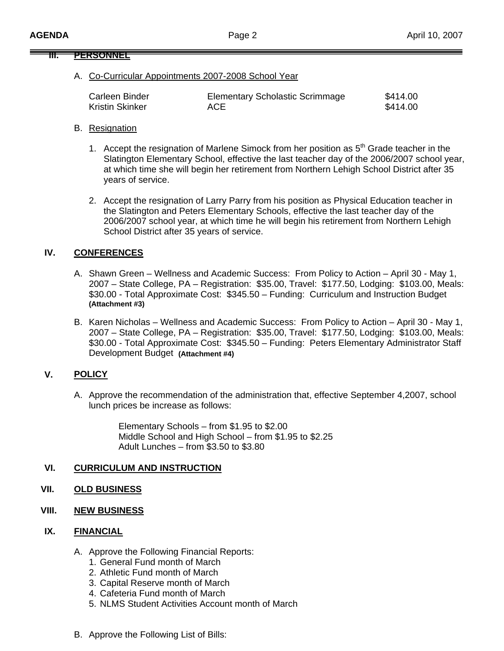#### **III. PERSONNEL**

# A. Co-Curricular Appointments 2007-2008 School Year

| Carleen Binder  | <b>Elementary Scholastic Scrimmage</b> | \$414.00 |
|-----------------|----------------------------------------|----------|
| Kristin Skinker | ACE.                                   | \$414.00 |

#### B. Resignation

- 1. Accept the resignation of Marlene Simock from her position as  $5<sup>th</sup>$  Grade teacher in the Slatington Elementary School, effective the last teacher day of the 2006/2007 school year, at which time she will begin her retirement from Northern Lehigh School District after 35 years of service.
- 2. Accept the resignation of Larry Parry from his position as Physical Education teacher in the Slatington and Peters Elementary Schools, effective the last teacher day of the 2006/2007 school year, at which time he will begin his retirement from Northern Lehigh School District after 35 years of service.

# **IV. CONFERENCES**

- A. Shawn Green Wellness and Academic Success: From Policy to Action April 30 May 1, 2007 – State College, PA – Registration: \$35.00, Travel: \$177.50, Lodging: \$103.00, Meals: \$30.00 - Total Approximate Cost: \$345.50 – Funding: Curriculum and Instruction Budget **(Attachment #3)**
- B. Karen Nicholas Wellness and Academic Success: From Policy to Action April 30 May 1, 2007 – State College, PA – Registration: \$35.00, Travel: \$177.50, Lodging: \$103.00, Meals: \$30.00 - Total Approximate Cost: \$345.50 – Funding: Peters Elementary Administrator Staff Development Budget **(Attachment #4)**

# **V. POLICY**

A. Approve the recommendation of the administration that, effective September 4,2007, school lunch prices be increase as follows:

> Elementary Schools – from \$1.95 to \$2.00 Middle School and High School – from \$1.95 to \$2.25 Adult Lunches – from \$3.50 to \$3.80

# **VI. CURRICULUM AND INSTRUCTION**

#### **VII. OLD BUSINESS**

**VIII. NEW BUSINESS**

#### **IX. FINANCIAL**

- A. Approve the Following Financial Reports:
	- 1. General Fund month of March
	- 2. Athletic Fund month of March
	- 3. Capital Reserve month of March
	- 4. Cafeteria Fund month of March
	- 5. NLMS Student Activities Account month of March
- B. Approve the Following List of Bills: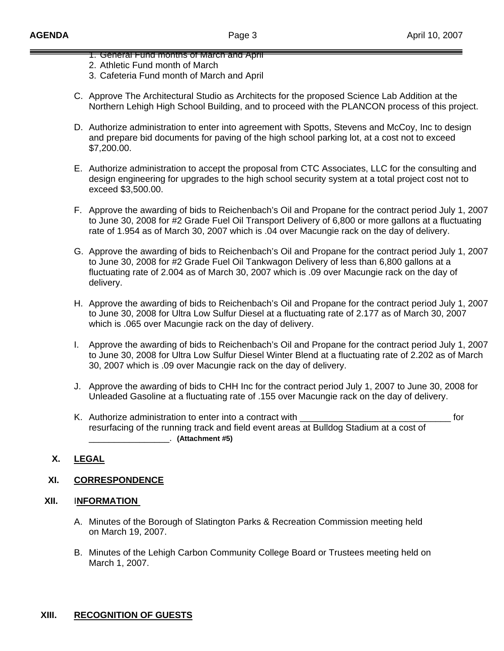- 1. General Fund months of March and April
- 2. Athletic Fund month of March
- 3. Cafeteria Fund month of March and April
- C. Approve The Architectural Studio as Architects for the proposed Science Lab Addition at the Northern Lehigh High School Building, and to proceed with the PLANCON process of this project.
- D. Authorize administration to enter into agreement with Spotts, Stevens and McCoy, Inc to design and prepare bid documents for paving of the high school parking lot, at a cost not to exceed \$7,200.00.
- E. Authorize administration to accept the proposal from CTC Associates, LLC for the consulting and design engineering for upgrades to the high school security system at a total project cost not to exceed \$3,500.00.
- F. Approve the awarding of bids to Reichenbach's Oil and Propane for the contract period July 1, 2007 to June 30, 2008 for #2 Grade Fuel Oil Transport Delivery of 6,800 or more gallons at a fluctuating rate of 1.954 as of March 30, 2007 which is .04 over Macungie rack on the day of delivery.
- G. Approve the awarding of bids to Reichenbach's Oil and Propane for the contract period July 1, 2007 to June 30, 2008 for #2 Grade Fuel Oil Tankwagon Delivery of less than 6,800 gallons at a fluctuating rate of 2.004 as of March 30, 2007 which is .09 over Macungie rack on the day of delivery.
- H. Approve the awarding of bids to Reichenbach's Oil and Propane for the contract period July 1, 2007 to June 30, 2008 for Ultra Low Sulfur Diesel at a fluctuating rate of 2.177 as of March 30, 2007 which is .065 over Macungie rack on the day of delivery.
- I. Approve the awarding of bids to Reichenbach's Oil and Propane for the contract period July 1, 2007 to June 30, 2008 for Ultra Low Sulfur Diesel Winter Blend at a fluctuating rate of 2.202 as of March 30, 2007 which is .09 over Macungie rack on the day of delivery.
- J. Approve the awarding of bids to CHH Inc for the contract period July 1, 2007 to June 30, 2008 for Unleaded Gasoline at a fluctuating rate of .155 over Macungie rack on the day of delivery.
- K. Authorize administration to enter into a contract with \_\_\_\_\_\_\_\_\_\_\_\_\_\_\_\_\_\_\_\_\_\_\_\_\_\_\_\_\_\_ for resurfacing of the running track and field event areas at Bulldog Stadium at a cost of \_\_\_\_\_\_\_\_\_\_\_\_\_\_\_\_. **(Attachment #5)**

# **X. LEGAL**

# **XI. CORRESPONDENCE**

# **XII.** I**NFORMATION**

- A. Minutes of the Borough of Slatington Parks & Recreation Commission meeting held on March 19, 2007.
- B. Minutes of the Lehigh Carbon Community College Board or Trustees meeting held on March 1, 2007.

# **XIII. RECOGNITION OF GUESTS**